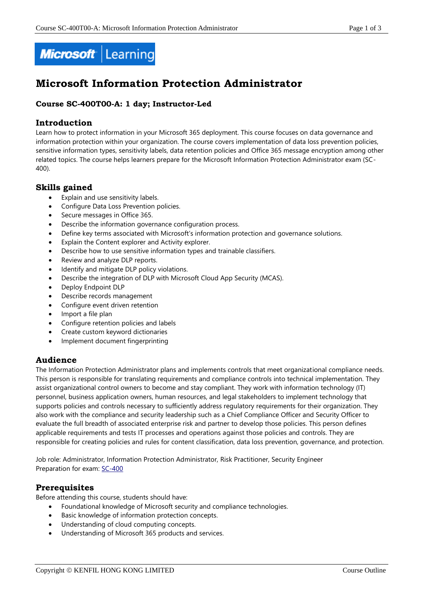

# **Microsoft Information Protection Administrator**

# **Course SC-400T00-A: 1 day; Instructor-Led**

# **Introduction**

Learn how to protect information in your Microsoft 365 deployment. This course focuses on data governance and information protection within your organization. The course covers implementation of data loss prevention policies, sensitive information types, sensitivity labels, data retention policies and Office 365 message encryption among other related topics. The course helps learners prepare for the Microsoft Information Protection Administrator exam (SC-400).

# **Skills gained**

- Explain and use sensitivity labels.
- Configure Data Loss Prevention policies.
- Secure messages in Office 365.
- Describe the information governance configuration process.
- Define key terms associated with Microsoft's information protection and governance solutions.
- Explain the Content explorer and Activity explorer.
- Describe how to use sensitive information types and trainable classifiers.
- Review and analyze DLP reports.
- Identify and mitigate DLP policy violations.
- Describe the integration of DLP with Microsoft Cloud App Security (MCAS).
- Deploy Endpoint DLP
- Describe records management
- Configure event driven retention
- Import a file plan
- Configure retention policies and labels
- Create custom keyword dictionaries
- Implement document fingerprinting

# **Audience**

The Information Protection Administrator plans and implements controls that meet organizational compliance needs. This person is responsible for translating requirements and compliance controls into technical implementation. They assist organizational control owners to become and stay compliant. They work with information technology (IT) personnel, business application owners, human resources, and legal stakeholders to implement technology that supports policies and controls necessary to sufficiently address regulatory requirements for their organization. They also work with the compliance and security leadership such as a Chief Compliance Officer and Security Officer to evaluate the full breadth of associated enterprise risk and partner to develop those policies. This person defines applicable requirements and tests IT processes and operations against those policies and controls. They are responsible for creating policies and rules for content classification, data loss prevention, governance, and protection.

Job role: Administrator, Information Protection Administrator, Risk Practitioner, Security Engineer Preparation for exam: [SC-400](https://docs.microsoft.com/en-us/learn/certifications/exams/sc-400)

# **Prerequisites**

Before attending this course, students should have:

- Foundational knowledge of Microsoft security and compliance technologies.
- Basic knowledge of information protection concepts.
- Understanding of cloud computing concepts.
- Understanding of Microsoft 365 products and services.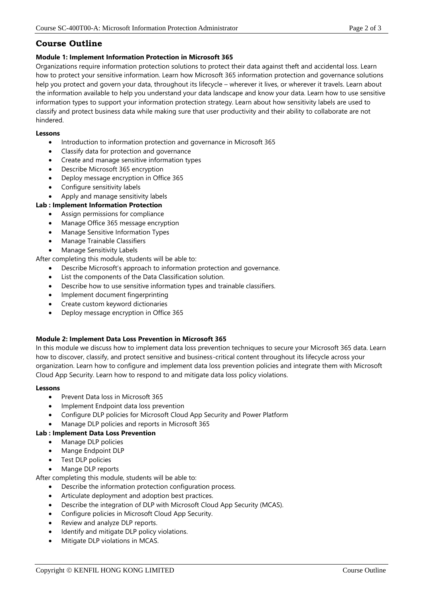# **Course Outline**

## **Module 1: Implement Information Protection in Microsoft 365**

Organizations require information protection solutions to protect their data against theft and accidental loss. Learn how to protect your sensitive information. Learn how Microsoft 365 information protection and governance solutions help you protect and govern your data, throughout its lifecycle – wherever it lives, or wherever it travels. Learn about the information available to help you understand your data landscape and know your data. Learn how to use sensitive information types to support your information protection strategy. Learn about how sensitivity labels are used to classify and protect business data while making sure that user productivity and their ability to collaborate are not hindered.

#### **Lessons**

- Introduction to information protection and governance in Microsoft 365
- Classify data for protection and governance
- Create and manage sensitive information types
- Describe Microsoft 365 encryption
- Deploy message encryption in Office 365
- Configure sensitivity labels
- Apply and manage sensitivity labels

# **Lab : Implement Information Protection**

- Assign permissions for compliance
- Manage Office 365 message encryption
- Manage Sensitive Information Types
- Manage Trainable Classifiers
- Manage Sensitivity Labels

After completing this module, students will be able to:

- Describe Microsoft's approach to information protection and governance.
- List the components of the Data Classification solution.
- Describe how to use sensitive information types and trainable classifiers.
- Implement document fingerprinting
- Create custom keyword dictionaries
- Deploy message encryption in Office 365

## **Module 2: Implement Data Loss Prevention in Microsoft 365**

In this module we discuss how to implement data loss prevention techniques to secure your Microsoft 365 data. Learn how to discover, classify, and protect sensitive and business-critical content throughout its lifecycle across your organization. Learn how to configure and implement data loss prevention policies and integrate them with Microsoft Cloud App Security. Learn how to respond to and mitigate data loss policy violations.

## **Lessons**

- Prevent Data loss in Microsoft 365
- Implement Endpoint data loss prevention
- Configure DLP policies for Microsoft Cloud App Security and Power Platform
- Manage DLP policies and reports in Microsoft 365

## **Lab : Implement Data Loss Prevention**

- Manage DLP policies
- Mange Endpoint DLP
- Test DLP policies
- Mange DLP reports

After completing this module, students will be able to:

- Describe the information protection configuration process.
- Articulate deployment and adoption best practices.
- Describe the integration of DLP with Microsoft Cloud App Security (MCAS).
- Configure policies in Microsoft Cloud App Security.
- Review and analyze DLP reports.
- Identify and mitigate DLP policy violations.
- Mitigate DLP violations in MCAS.